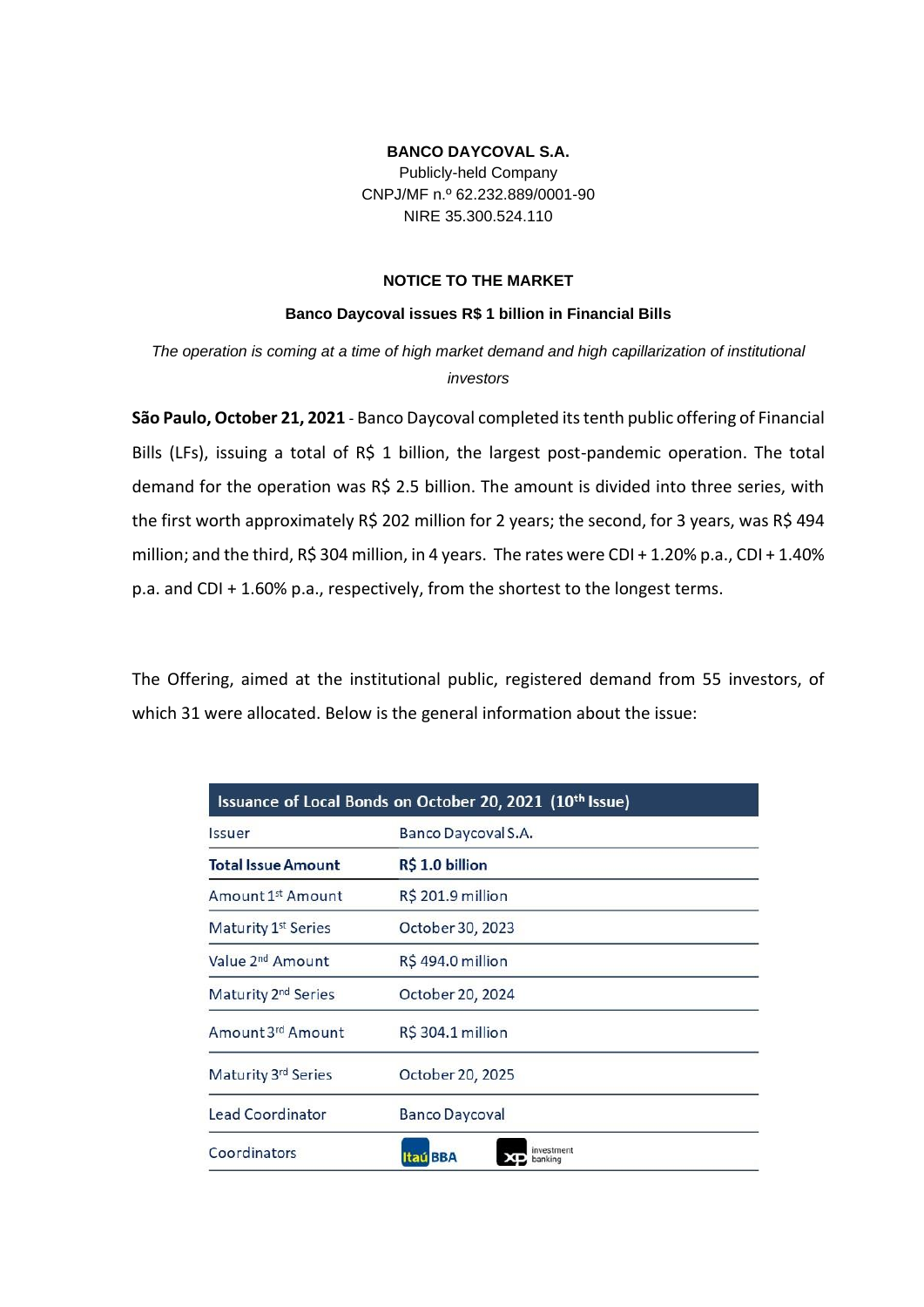## **BANCO DAYCOVAL S.A.**

Publicly-held Company CNPJ/MF n.º 62.232.889/0001-90 NIRE 35.300.524.110

## **NOTICE TO THE MARKET**

## **Banco Daycoval issues R\$ 1 billion in Financial Bills**

*The operation is coming at a time of high market demand and high capillarization of institutional investors*

**São Paulo, October 21, 2021** - Banco Daycoval completed its tenth public offering of Financial Bills (LFs), issuing a total of R\$ 1 billion, the largest post-pandemic operation. The total demand for the operation was R\$ 2.5 billion. The amount is divided into three series, with the first worth approximately R\$ 202 million for 2 years; the second, for 3 years, was R\$ 494 million; and the third, R\$ 304 million, in 4 years. The rates were CDI + 1.20% p.a., CDI + 1.40% p.a. and CDI + 1.60% p.a., respectively, from the shortest to the longest terms.

The Offering, aimed at the institutional public, registered demand from 55 investors, of which 31 were allocated. Below is the general information about the issue:

| Issuance of Local Bonds on October 20, 2021 (10th Issue) |                                 |
|----------------------------------------------------------|---------------------------------|
| <i><u><b>Issuer</b></u></i>                              | Banco Daycoval S.A.             |
| <b>Total Issue Amount</b>                                | R\$ 1.0 billion                 |
| Amount 1st Amount                                        | R\$ 201.9 million               |
| Maturity 1 <sup>st</sup> Series                          | October 30, 2023                |
| Value 2 <sup>nd</sup> Amount                             | R\$494.0 million                |
| Maturity 2 <sup>nd</sup> Series                          | October 20, 2024                |
| Amount 3rd Amount                                        | R\$ 304.1 million               |
| Maturity 3rd Series                                      | October 20, 2025                |
| Lead Coordinator                                         | <b>Banco Daycoval</b>           |
| Coordinators                                             | westment<br>Itaú BBA<br>banking |